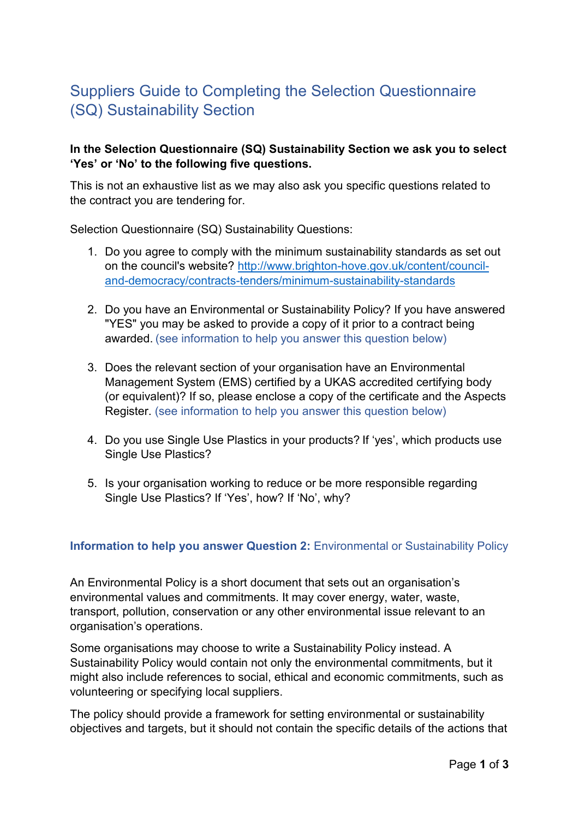# Suppliers Guide to Completing the Selection Questionnaire (SQ) Sustainability Section

## **In the Selection Questionnaire (SQ) Sustainability Section we ask you to select 'Yes' or 'No' to the following five questions.**

This is not an exhaustive list as we may also ask you specific questions related to the contract you are tendering for.

Selection Questionnaire (SQ) Sustainability Questions:

- 1. Do you agree to comply with the minimum sustainability standards as set out on the council's website? [http://www.brighton-hove.gov.uk/content/council](http://www.brighton-hove.gov.uk/content/council-and-democracy/contracts-tenders/minimum-sustainability-standards)[and-democracy/contracts-tenders/minimum-sustainability-standards](http://www.brighton-hove.gov.uk/content/council-and-democracy/contracts-tenders/minimum-sustainability-standards)
- 2. Do you have an Environmental or Sustainability Policy? If you have answered "YES" you may be asked to provide a copy of it prior to a contract being awarded. (see information to help you answer this question below)
- 3. Does the relevant section of your organisation have an Environmental Management System (EMS) certified by a UKAS accredited certifying body (or equivalent)? If so, please enclose a copy of the certificate and the Aspects Register. (see information to help you answer this question below)
- 4. Do you use Single Use Plastics in your products? If 'yes', which products use Single Use Plastics?
- 5. Is your organisation working to reduce or be more responsible regarding Single Use Plastics? If 'Yes', how? If 'No', why?

#### **Information to help you answer Question 2:** Environmental or Sustainability Policy

An Environmental Policy is a short document that sets out an organisation's environmental values and commitments. It may cover energy, water, waste, transport, pollution, conservation or any other environmental issue relevant to an organisation's operations.

Some organisations may choose to write a Sustainability Policy instead. A Sustainability Policy would contain not only the environmental commitments, but it might also include references to social, ethical and economic commitments, such as volunteering or specifying local suppliers.

The policy should provide a framework for setting environmental or sustainability objectives and targets, but it should not contain the specific details of the actions that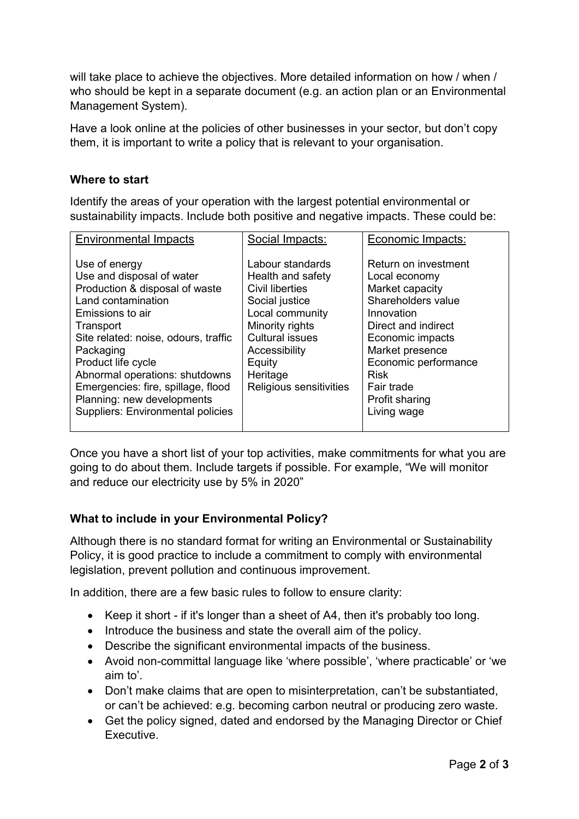will take place to achieve the objectives. More detailed information on how / when / who should be kept in a separate document (e.g. an action plan or an Environmental Management System).

Have a look online at the policies of other businesses in your sector, but don't copy them, it is important to write a policy that is relevant to your organisation.

## **Where to start**

Identify the areas of your operation with the largest potential environmental or sustainability impacts. Include both positive and negative impacts. These could be:

| <b>Environmental Impacts</b>                                                                                                                                                                                                                                                                                                                                     | Social Impacts:                                                                                                                                                                                              | Economic Impacts:                                                                                                                                                                                                                                |
|------------------------------------------------------------------------------------------------------------------------------------------------------------------------------------------------------------------------------------------------------------------------------------------------------------------------------------------------------------------|--------------------------------------------------------------------------------------------------------------------------------------------------------------------------------------------------------------|--------------------------------------------------------------------------------------------------------------------------------------------------------------------------------------------------------------------------------------------------|
| Use of energy<br>Use and disposal of water<br>Production & disposal of waste<br>Land contamination<br>Emissions to air<br>Transport<br>Site related: noise, odours, traffic<br>Packaging<br>Product life cycle<br>Abnormal operations: shutdowns<br>Emergencies: fire, spillage, flood<br>Planning: new developments<br><b>Suppliers: Environmental policies</b> | Labour standards<br>Health and safety<br>Civil liberties<br>Social justice<br>Local community<br>Minority rights<br><b>Cultural issues</b><br>Accessibility<br>Equity<br>Heritage<br>Religious sensitivities | Return on investment<br>Local economy<br>Market capacity<br>Shareholders value<br>Innovation<br>Direct and indirect<br>Economic impacts<br>Market presence<br>Economic performance<br><b>Risk</b><br>Fair trade<br>Profit sharing<br>Living wage |
|                                                                                                                                                                                                                                                                                                                                                                  |                                                                                                                                                                                                              |                                                                                                                                                                                                                                                  |

Once you have a short list of your top activities, make commitments for what you are going to do about them. Include targets if possible. For example, "We will monitor and reduce our electricity use by 5% in 2020"

# **What to include in your Environmental Policy?**

Although there is no standard format for writing an Environmental or Sustainability Policy, it is good practice to include a commitment to comply with environmental legislation, prevent pollution and continuous improvement.

In addition, there are a few basic rules to follow to ensure clarity:

- Keep it short if it's longer than a sheet of A4, then it's probably too long.
- Introduce the business and state the overall aim of the policy.
- Describe the significant environmental impacts of the business.
- Avoid non-committal language like 'where possible', 'where practicable' or 'we aim to'.
- Don't make claims that are open to misinterpretation, can't be substantiated, or can't be achieved: e.g. becoming carbon neutral or producing zero waste.
- Get the policy signed, dated and endorsed by the Managing Director or Chief Executive.